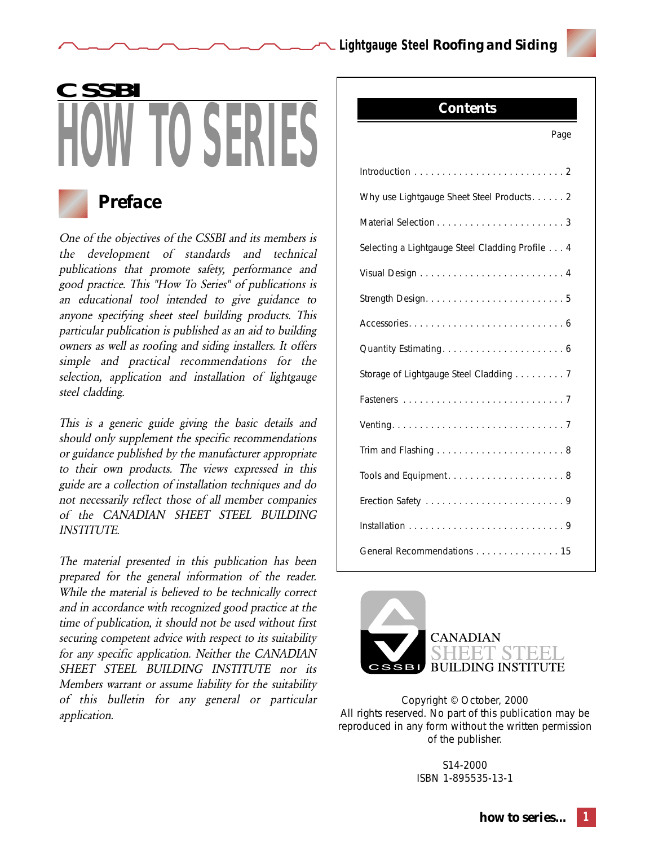*Contents*



# **KERI CSSBI**



# *Preface*

One of the objectives of the CSSBI and its members is the development of standards and technical publications that promote safety, performance and good practice. This "How To Series" of publications is an educational tool intended to give guidance to anyone specifying sheet steel building products. This particular publication is published as an aid to building owners as well as roofing and siding installers. It offers simple and practical recommendations for the selection, application and installation of lightgauge steel cladding.

This is a generic guide giving the basic details and should only supplement the specific recommendations or guidance published by the manufacturer appropriate to their own products. The views expressed in this guide are a collection of installation techniques and do not necessarily reflect those of all member companies of the CANADIAN SHEET STEEL BUILDING INSTITUTE.

The material presented in this publication has been prepared for the general information of the reader. While the material is believed to be technically correct and in accordance with recognized good practice at the time of publication, it should not be used without first securing competent advice with respect to its suitability for any specific application. Neither the CANADIAN SHEET STEEL BUILDING INSTITUTE nor its Members warrant or assume liability for the suitability of this bulletin for any general or particular application.

| Page                                            |  |  |  |  |
|-------------------------------------------------|--|--|--|--|
|                                                 |  |  |  |  |
| Why use Lightgauge Sheet Steel Products. 2      |  |  |  |  |
|                                                 |  |  |  |  |
| Selecting a Lightgauge Steel Cladding Profile 4 |  |  |  |  |
|                                                 |  |  |  |  |
|                                                 |  |  |  |  |
|                                                 |  |  |  |  |
|                                                 |  |  |  |  |
| Storage of Lightgauge Steel Cladding 7          |  |  |  |  |
|                                                 |  |  |  |  |
|                                                 |  |  |  |  |
|                                                 |  |  |  |  |
|                                                 |  |  |  |  |
|                                                 |  |  |  |  |
|                                                 |  |  |  |  |
| General Recommendations 15                      |  |  |  |  |



Copyright © October, 2000 All rights reserved. No part of this publication may be reproduced in any form without the written permission of the publisher.

> S14-2000 ISBN 1-895535-13-1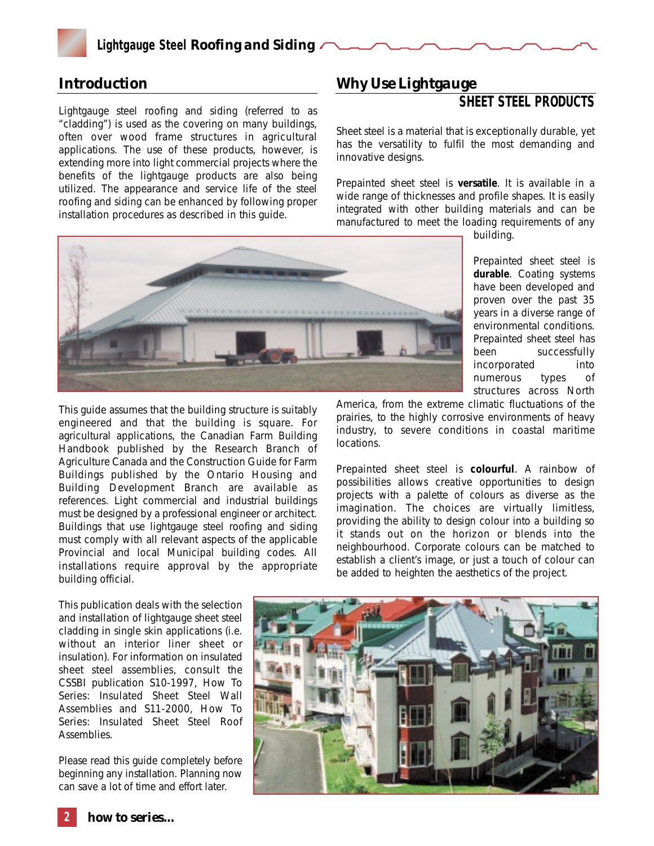

## *Introduction*

Lightgauge steel roofing and siding (referred to as "cladding") is used as the covering on many buildings, often over wood frame structures in agricultural applications. The use of these products, however, is extending more into light commercial projects where the benefits of the lightgauge products are also being utilized. The appearance and service life of the steel roofing and siding can be enhanced by following proper installation procedures as described in this guide.

# *Why Use Lightgauge*

## **SHEET STEEL PRODUCTS**

Sheet steel is a material that is exceptionally durable, yet has the versatility to fulfil the most demanding and innovative designs.

Prepainted sheet steel is **versatile**. It is available in a wide range of thicknesses and profile shapes. It is easily integrated with other building materials and can be manufactured to meet the loading requirements of any

building.



This guide assumes that the building structure is suitably engineered and that the building is square. For agricultural applications, the *Canadian Farm Building Handbook* published by the Research Branch of Agriculture Canada and the *Construction Guide for Farm Buildings* published by the Ontario Housing and Building Development Branch are available as references. Light commercial and industrial buildings must be designed by a professional engineer or architect. Buildings that use lightgauge steel roofing and siding must comply with all relevant aspects of the applicable Provincial and local Municipal building codes. All installations require approval by the appropriate building official.

Prepainted sheet steel is **durable**. Coating systems have been developed and proven over the past 35 years in a diverse range of environmental conditions. Prepainted sheet steel has been successfully incorporated into numerous types of

structures across North

America, from the extreme climatic fluctuations of the prairies, to the highly corrosive environments of heavy industry, to severe conditions in coastal maritime locations.

Prepainted sheet steel is **colourful**. A rainbow of possibilities allows creative opportunities to design projects with a palette of colours as diverse as the imagination. The choices are virtually limitless, providing the ability to design colour into a building so it stands out on the horizon or blends into the neighbourhood. Corporate colours can be matched to establish a client's image, or just a touch of colour can be added to heighten the aesthetics of the project.

This publication deals with the selection and installation of lightgauge sheet steel cladding in single skin applications (i.e. without an interior liner sheet or insulation). For information on insulated sheet steel assemblies, consult the CSSBI publication S10-1997, *How To Series: Insulated Sheet Steel Wall Assemblies* and S11-2000, *How To Series: Insulated Sheet Steel Roof Assemblies.*

Please read this guide completely before beginning any installation. Planning now can save a lot of time and effort later.

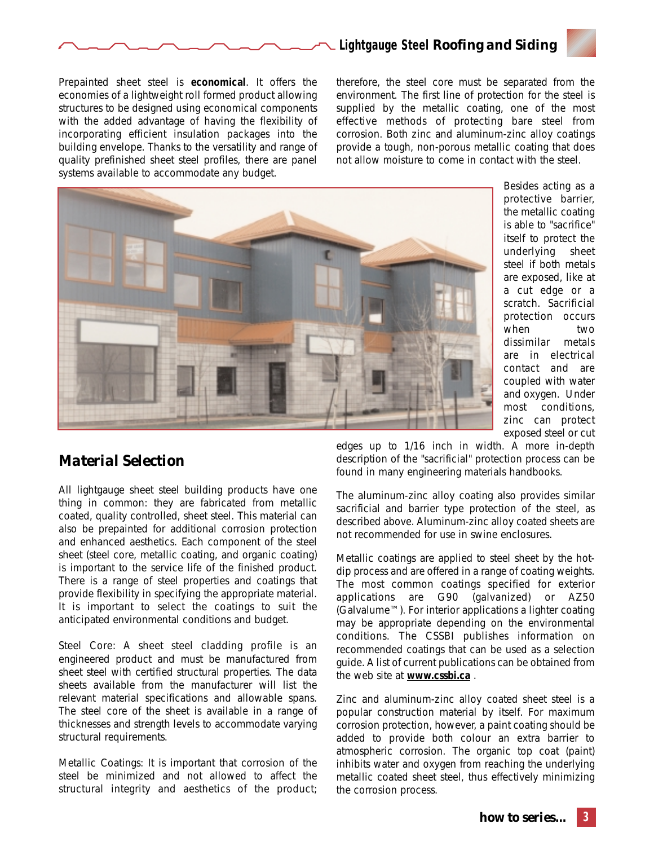

Prepainted sheet steel is **economical**. It offers the economies of a lightweight roll formed product allowing structures to be designed using economical components with the added advantage of having the flexibility of incorporating efficient insulation packages into the building envelope. Thanks to the versatility and range of quality prefinished sheet steel profiles, there are panel systems available to accommodate any budget.

therefore, the steel core must be separated from the environment. The first line of protection for the steel is supplied by the metallic coating, one of the most effective methods of protecting bare steel from corrosion. Both zinc and aluminum-zinc alloy coatings provide a tough, non-porous metallic coating that does not allow moisture to come in contact with the steel.

**Lightgauge Steel** *Roofing and Siding*



Besides acting as a protective barrier, the metallic coating is able to "sacrifice" itself to protect the underlying sheet steel if both metals are exposed, like at a cut edge or a scratch. Sacrificial protection occurs when two dissimilar metals are in electrical contact and are coupled with water and oxygen. Under most conditions, zinc can protect exposed steel or cut

# *Material Selection*

All lightgauge sheet steel building products have one thing in common: they are fabricated from metallic coated, quality controlled, sheet steel. This material can also be prepainted for additional corrosion protection and enhanced aesthetics. Each component of the steel sheet (steel core, metallic coating, and organic coating) is important to the service life of the finished product. There is a range of steel properties and coatings that provide flexibility in specifying the appropriate material. It is important to select the coatings to suit the anticipated environmental conditions and budget.

*Steel Core:* A sheet steel cladding profile is an engineered product and must be manufactured from sheet steel with certified structural properties. The data sheets available from the manufacturer will list the relevant material specifications and allowable spans. The steel core of the sheet is available in a range of thicknesses and strength levels to accommodate varying structural requirements.

*Metallic Coatings*: It is important that corrosion of the steel be minimized and not allowed to affect the structural integrity and aesthetics of the product;

edges up to 1/16 inch in width. A more in-depth description of the "sacrificial" protection process can be found in many engineering materials handbooks.

The aluminum-zinc alloy coating also provides similar sacrificial and barrier type protection of the steel, as described above. Aluminum-zinc alloy coated sheets are not recommended for use in swine enclosures.

Metallic coatings are applied to steel sheet by the hotdip process and are offered in a range of coating weights. The most common coatings specified for exterior applications are G90 (galvanized) or AZ50 (Galvalume™). For interior applications a lighter coating may be appropriate depending on the environmental conditions. The CSSBI publishes information on recommended coatings that can be used as a selection guide. A list of current publications can be obtained from the web site at **www.cssbi.ca** .

Zinc and aluminum-zinc alloy coated sheet steel is a popular construction material by itself. For maximum corrosion protection, however, a paint coating should be added to provide both colour an extra barrier to atmospheric corrosion. The organic top coat (paint) inhibits water and oxygen from reaching the underlying metallic coated sheet steel, thus effectively minimizing the corrosion process.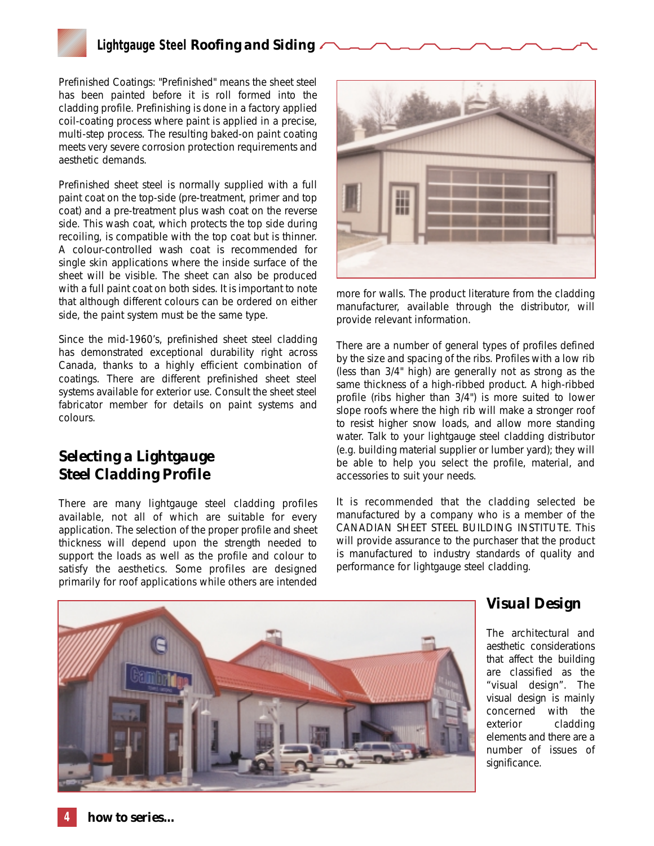*Prefinished Coatings:* "Prefinished" means the sheet steel has been painted before it is roll formed into the cladding profile. Prefinishing is done in a factory applied coil-coating process where paint is applied in a precise, multi-step process. The resulting baked-on paint coating meets very severe corrosion protection requirements and aesthetic demands.

Prefinished sheet steel is normally supplied with a full paint coat on the top-side (pre-treatment, primer and top coat) and a pre-treatment plus wash coat on the reverse side. This wash coat, which protects the top side during recoiling, is compatible with the top coat but is thinner. A colour-controlled wash coat is recommended for single skin applications where the inside surface of the sheet will be visible. The sheet can also be produced with a full paint coat on both sides. It is important to note that although different colours can be ordered on either side, the paint system must be the same type.

Since the mid-1960's, prefinished sheet steel cladding has demonstrated exceptional durability right across Canada, thanks to a highly efficient combination of coatings. There are different prefinished sheet steel systems available for exterior use. Consult the sheet steel fabricator member for details on paint systems and colours.

# *Selecting a Lightgauge Steel Cladding Profile*

There are many lightgauge steel cladding profiles available, not all of which are suitable for every application. The selection of the proper profile and sheet thickness will depend upon the strength needed to support the loads as well as the profile and colour to satisfy the aesthetics. Some profiles are designed primarily for roof applications while others are intended



more for walls. The product literature from the cladding manufacturer, available through the distributor, will provide relevant information.

There are a number of general types of profiles defined by the size and spacing of the ribs. Profiles with a low rib (less than 3/4" high) are generally not as strong as the same thickness of a high-ribbed product. A high-ribbed profile (ribs higher than 3/4") is more suited to lower slope roofs where the high rib will make a stronger roof to resist higher snow loads, and allow more standing water. Talk to your lightgauge steel cladding distributor (e.g. building material supplier or lumber yard); they will be able to help you select the profile, material, and accessories to suit your needs.

It is recommended that the cladding selected be manufactured by a company who is a member of the CANADIAN SHEET STEEL BUILDING INSTITUTE. This will provide assurance to the purchaser that the product is manufactured to industry standards of quality and performance for lightgauge steel cladding.



# *Visual Design*

The architectural and aesthetic considerations that affect the building are classified as the "visual design". The visual design is mainly concerned with the exterior cladding elements and there are a number of issues of significance.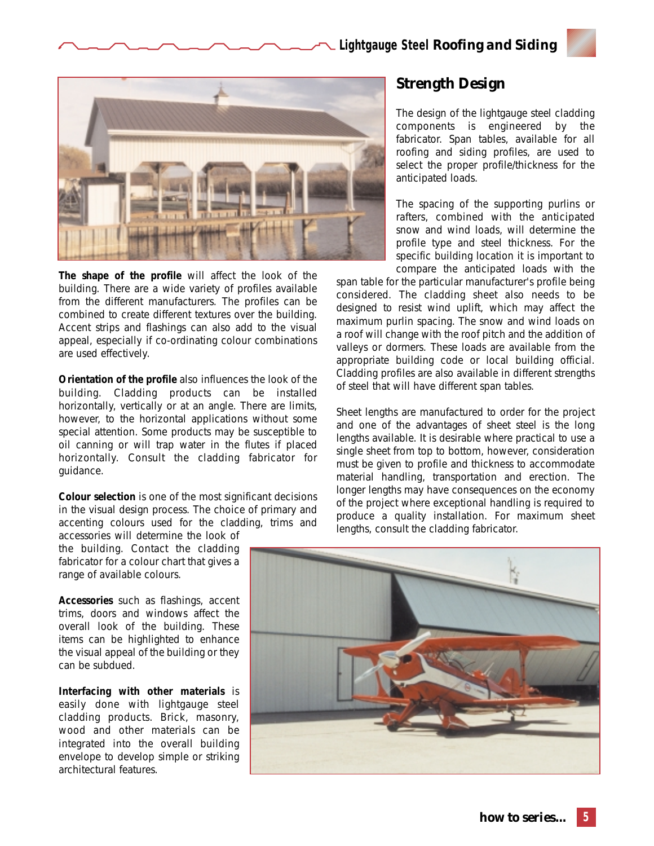

**The shape of the profile** will affect the look of the building. There are a wide variety of profiles available from the different manufacturers. The profiles can be combined to create different textures over the building. Accent strips and flashings can also add to the visual appeal, especially if co-ordinating colour combinations are used effectively.

**Orientation of the profile** also influences the look of the building. Cladding products can be installed horizontally, vertically or at an angle. There are limits, however, to the horizontal applications without some special attention. Some products may be susceptible to oil canning or will trap water in the flutes if placed horizontally. Consult the cladding fabricator for guidance.

**Colour selection** is one of the most significant decisions in the visual design process. The choice of primary and accenting colours used for the cladding, trims and

accessories will determine the look of the building. Contact the cladding fabricator for a colour chart that gives a range of available colours.

**Accessories** such as flashings, accent trims, doors and windows affect the overall look of the building. These items can be highlighted to enhance the visual appeal of the building or they can be subdued.

**Interfacing with other materials** is easily done with lightgauge steel cladding products. Brick, masonry, wood and other materials can be integrated into the overall building envelope to develop simple or striking architectural features.

# *Strength Design*

The design of the lightgauge steel cladding components is engineered by the fabricator. Span tables, available for all roofing and siding profiles, are used to select the proper profile/thickness for the anticipated loads.

The spacing of the supporting purlins or rafters, combined with the anticipated snow and wind loads, will determine the profile type and steel thickness. For the specific building location it is important to compare the anticipated loads with the

span table for the particular manufacturer's profile being considered. The cladding sheet also needs to be designed to resist wind uplift, which may affect the maximum purlin spacing. The snow and wind loads on a roof will change with the roof pitch and the addition of valleys or dormers. These loads are available from the appropriate building code or local building official. Cladding profiles are also available in different strengths of steel that will have different span tables.

Sheet lengths are manufactured to order for the project and one of the advantages of sheet steel is the long lengths available. It is desirable where practical to use a single sheet from top to bottom, however, consideration must be given to profile and thickness to accommodate material handling, transportation and erection. The longer lengths may have consequences on the economy of the project where exceptional handling is required to produce a quality installation. For maximum sheet lengths, consult the cladding fabricator.

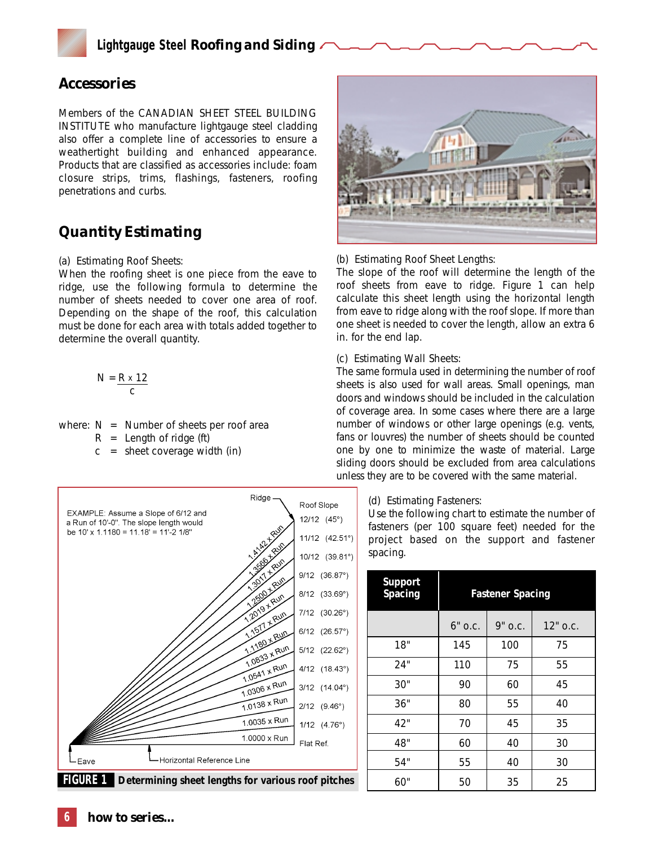

## *Accessories*

Members of the CANADIAN SHEET STEEL BUILDING INSTITUTE who manufacture lightgauge steel cladding also offer a complete line of accessories to ensure a weathertight building and enhanced appearance. Products that are classified as accessories include: foam closure strips, trims, flashings, fasteners, roofing penetrations and curbs.

# *Quantity Estimating*

#### *(a) Estimating Roof Sheets:*

When the roofing sheet is one piece from the eave to ridge, use the following formula to determine the number of sheets needed to cover one area of roof. Depending on the shape of the roof, this calculation must be done for each area with totals added together to determine the overall quantity.

$$
N = \frac{R \times 12}{c}
$$

where:  $N =$  Number of sheets per roof area

 $R =$  Length of ridge (ft)

 $c =$  sheet coverage width (in)



#### *(b) Estimating Roof Sheet Lengths:*

The slope of the roof will determine the length of the roof sheets from eave to ridge. Figure 1 can help calculate this sheet length using the horizontal length from eave to ridge along with the roof slope. If more than one sheet is needed to cover the length, allow an extra 6 in. for the end lap.

#### *(c) Estimating Wall Sheets:*

The same formula used in determining the number of roof sheets is also used for wall areas. Small openings, man doors and windows should be included in the calculation of coverage area. In some cases where there are a large number of windows or other large openings (e.g. vents, fans or louvres) the number of sheets should be counted one by one to minimize the waste of material. Large sliding doors should be excluded from area calculations unless they are to be covered with the same material.

#### *(d) Estimating Fasteners:*

Use the following chart to estimate the number of fasteners (per 100 square feet) needed for the project based on the support and fastener spacing.

| <b>Support</b><br>Spacing | <b>Fastener Spacing</b> |         |            |
|---------------------------|-------------------------|---------|------------|
|                           | $6"$ O.C.               | 9" o.c. | $12"$ o.c. |
| 18"                       | 145                     | 100     | 75         |
| 24"                       | 110                     | 75      | 55         |
| 30"                       | 90                      | 60      | 45         |
| 36"                       | 80                      | 55      | 40         |
| 42"                       | 70                      | 45      | 35         |
| 48"                       | 60                      | 40      | 30         |
| 54"                       | 55                      | 40      | 30         |
| 60"                       | 50                      | 35      | 25         |

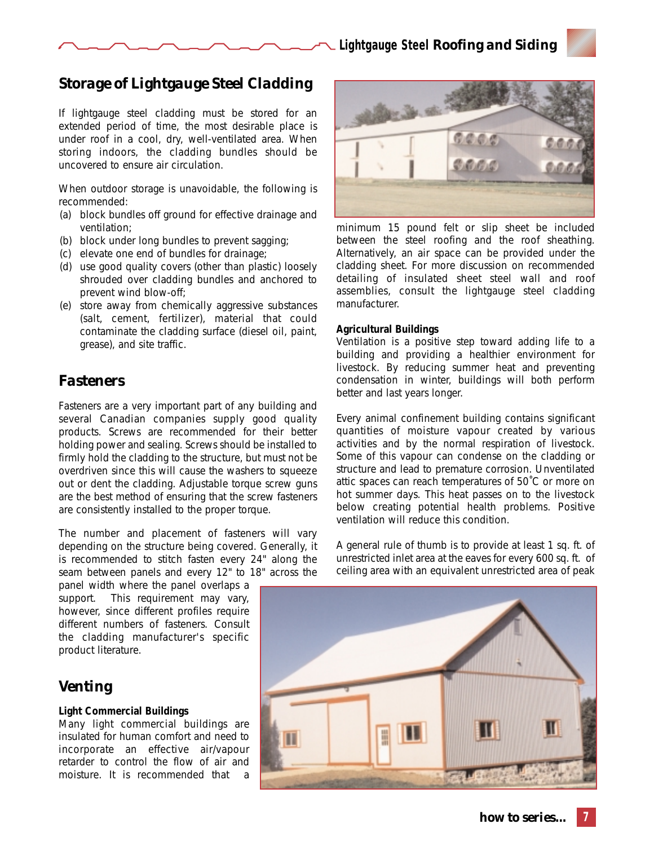# *Storage of Lightgauge Steel Cladding*

If lightgauge steel cladding must be stored for an extended period of time, the most desirable place is under roof in a cool, dry, well-ventilated area. When storing indoors, the cladding bundles should be uncovered to ensure air circulation.

When outdoor storage is unavoidable, the following is recommended:

- (a) block bundles off ground for effective drainage and ventilation;
- (b) block under long bundles to prevent sagging;
- (c) elevate one end of bundles for drainage;
- (d) use good quality covers (*other than plastic*) loosely shrouded over cladding bundles and anchored to prevent wind blow-off;
- (e) store away from chemically aggressive substances (*salt, cement, fertilizer*), material that could contaminate the cladding surface (*diesel oil, paint, grease*), and site traffic.

# *Fasteners*

Fasteners are a very important part of any building and several Canadian companies supply good quality products. Screws are recommended for their better holding power and sealing. Screws should be installed to firmly hold the cladding to the structure, but must not be overdriven since this will cause the washers to squeeze out or dent the cladding. Adjustable torque screw guns are the best method of ensuring that the screw fasteners are consistently installed to the proper torque.

The number and placement of fasteners will vary depending on the structure being covered. Generally, it is recommended to stitch fasten every 24" along the seam between panels and every 12" to 18" across the

panel width where the panel overlaps a support. This requirement may vary, however, since different profiles require different numbers of fasteners. Consult the cladding manufacturer's specific product literature.

# *Venting*

#### **Light Commercial Buildings**

Many light commercial buildings are insulated for human comfort and need to incorporate an effective air/vapour retarder to control the flow of air and moisture. It is recommended that a



minimum 15 pound felt or slip sheet be included between the steel roofing and the roof sheathing. Alternatively, an air space can be provided under the cladding sheet. For more discussion on recommended detailing of insulated sheet steel wall and roof assemblies, consult the lightgauge steel cladding manufacturer.

#### **Agricultural Buildings**

Ventilation is a positive step toward adding life to a building and providing a healthier environment for livestock. By reducing summer heat and preventing condensation in winter, buildings will both perform better and last years longer.

Every animal confinement building contains significant quantities of moisture vapour created by various activities and by the normal respiration of livestock. Some of this vapour can condense on the cladding or structure and lead to premature corrosion. Unventilated attic spaces can reach temperatures of 50˚C or more on hot summer days. This heat passes on to the livestock below creating potential health problems. Positive ventilation will reduce this condition.

A general rule of thumb is to provide at least 1 sq. ft. of unrestricted inlet area at the eaves for every 600 sq. ft. of ceiling area with an equivalent unrestricted area of peak

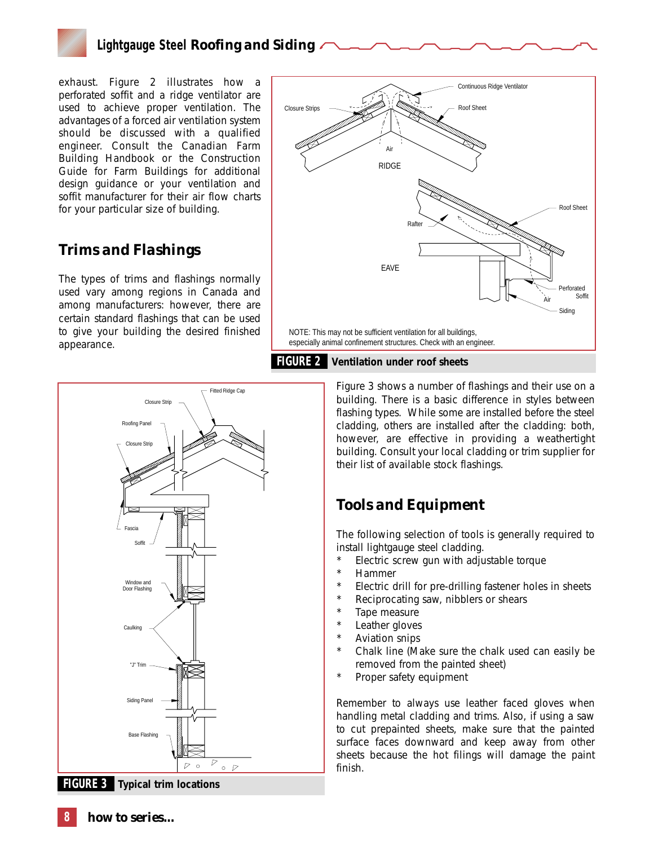

exhaust. Figure 2 illustrates how a perforated soffit and a ridge ventilator are used to achieve proper ventilation. The advantages of a forced air ventilation system should be discussed with a qualified engineer. Consult the *Canadian Farm Building Handbook* or the *Construction Guide for Farm Buildings* for additional design guidance or your ventilation and soffit manufacturer for their air flow charts for your particular size of building.

## *Trims and Flashings*

The types of trims and flashings normally used vary among regions in Canada and among manufacturers: however, there are certain standard flashings that can be used to give your building the desired finished appearance.





Figure 3 shows a number of flashings and their use on a building. There is a basic difference in styles between flashing types. While some are installed before the steel cladding, others are installed after the cladding: both, however, are effective in providing a weathertight building. Consult your local cladding or trim supplier for their list of available stock flashings.

# *Tools and Equipment*

The following selection of tools is generally required to install lightgauge steel cladding.

- Electric screw gun with adjustable torque
- **Hammer**
- Electric drill for pre-drilling fastener holes in sheets
- Reciprocating saw, nibblers or shears
- Tape measure
- Leather gloves
	- Aviation snips
	- Chalk line (Make sure the chalk used can easily be removed from the painted sheet)
	- Proper safety equipment

Remember to always use leather faced gloves when handling metal cladding and trims. Also, if using a saw to cut prepainted sheets, make sure that the painted surface faces downward and keep away from other sheets because the hot filings will damage the paint finish.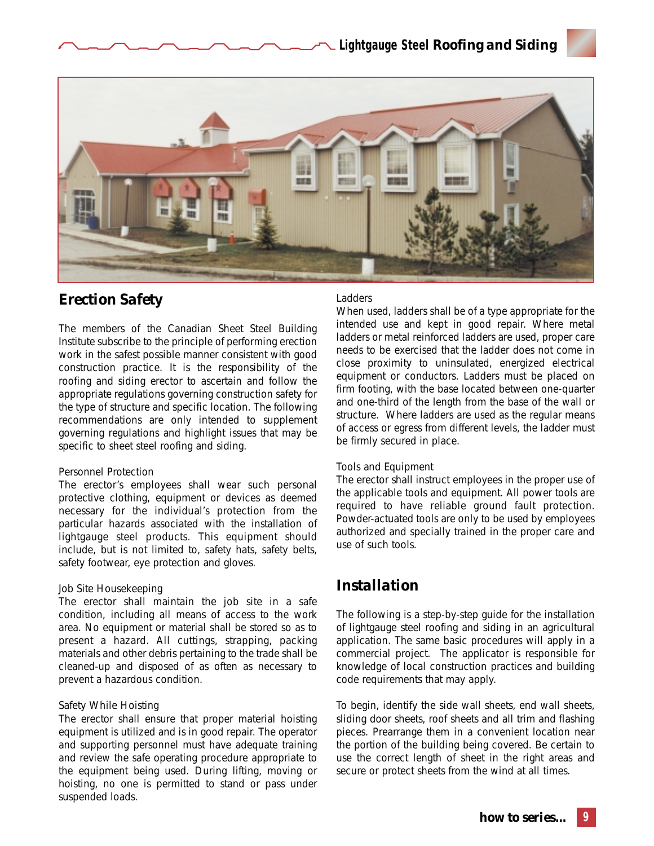



## *Erection Safety*

The members of the Canadian Sheet Steel Building Institute subscribe to the principle of performing erection work in the safest possible manner consistent with good construction practice. It is the responsibility of the roofing and siding erector to ascertain and follow the appropriate regulations governing construction safety for the type of structure and specific location. The following recommendations are only intended to supplement governing regulations and highlight issues that may be specific to sheet steel roofing and siding.

#### *Personnel Protection*

The erector's employees shall wear such personal protective clothing, equipment or devices as deemed necessary for the individual's protection from the particular hazards associated with the installation of lightgauge steel products. This equipment should include, but is not limited to, safety hats, safety belts, safety footwear, eye protection and gloves.

#### *Job Site Housekeeping*

The erector shall maintain the job site in a safe condition, including all means of access to the work area. No equipment or material shall be stored so as to present a hazard. All cuttings, strapping, packing materials and other debris pertaining to the trade shall be cleaned-up and disposed of as often as necessary to prevent a hazardous condition.

#### *Safety While Hoisting*

The erector shall ensure that proper material hoisting equipment is utilized and is in good repair. The operator and supporting personnel must have adequate training and review the safe operating procedure appropriate to the equipment being used. During lifting, moving or hoisting, no one is permitted to stand or pass under suspended loads.

#### *Ladders*

When used, ladders shall be of a type appropriate for the intended use and kept in good repair. Where metal ladders or metal reinforced ladders are used, proper care needs to be exercised that the ladder does not come in close proximity to uninsulated, energized electrical equipment or conductors. Ladders must be placed on firm footing, with the base located between one-quarter and one-third of the length from the base of the wall or structure. Where ladders are used as the regular means of access or egress from different levels, the ladder must be firmly secured in place.

#### *Tools and Equipment*

The erector shall instruct employees in the proper use of the applicable tools and equipment. All power tools are required to have reliable ground fault protection. Powder-actuated tools are only to be used by employees authorized and specially trained in the proper care and use of such tools.

# *Installation*

The following is a step-by-step guide for the installation of lightgauge steel roofing and siding in an agricultural application. The same basic procedures will apply in a commercial project. The applicator is responsible for knowledge of local construction practices and building code requirements that may apply.

To begin, identify the side wall sheets, end wall sheets, sliding door sheets, roof sheets and all trim and flashing pieces. Prearrange them in a convenient location near the portion of the building being covered. Be certain to use the correct length of sheet in the right areas and secure or protect sheets from the wind at all times.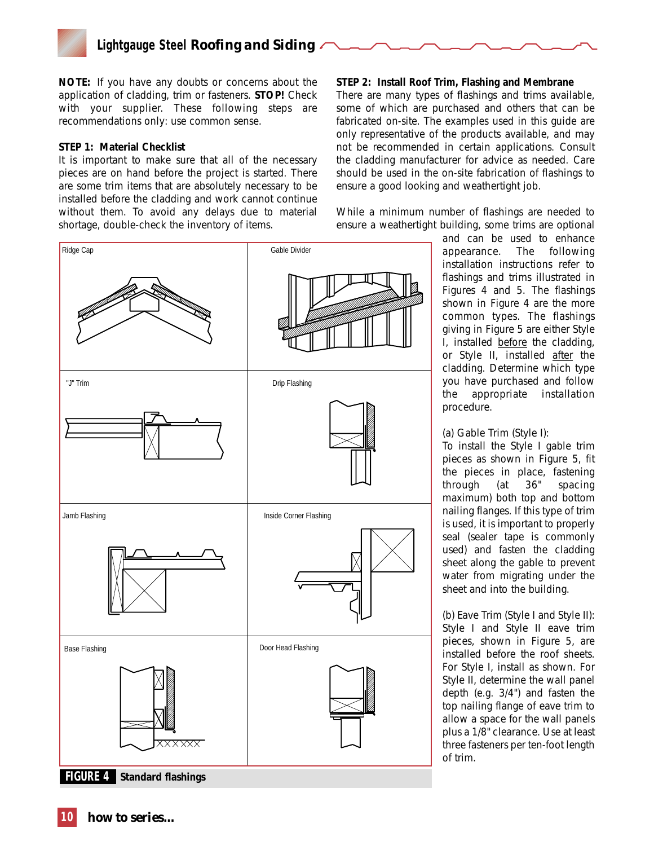*NOTE: If you have any doubts or concerns about the application of cladding, trim or fasteners. STOP! Check with your supplier. These following steps are recommendations only: use common sense.*

#### **STEP 1: Material Checklist**

It is important to make sure that all of the necessary pieces are on hand before the project is started. There are some trim items that are absolutely necessary to be installed before the cladding and work cannot continue without them. To avoid any delays due to material shortage, double-check the inventory of items.



There are many types of flashings and trims available, some of which are purchased and others that can be fabricated on-site. The examples used in this guide are only representative of the products available, and may not be recommended in certain applications. Consult the cladding manufacturer for advice as needed. Care should be used in the on-site fabrication of flashings to ensure a good looking and weathertight job.

While a minimum number of flashings are needed to ensure a weathertight building, some trims are optional



and can be used to enhance appearance. The following installation instructions refer to flashings and trims illustrated in Figures 4 and 5. The flashings shown in Figure 4 are the more common types. The flashings giving in Figure 5 are either Style I, installed before the cladding, or Style II, installed after the cladding. Determine which type you have purchased and follow the appropriate installation procedure.

#### *(a) Gable Trim (Style I):*

To install the Style I gable trim pieces as shown in Figure 5, fit the pieces in place, fastening through (at 36" spacing maximum) both top and bottom nailing flanges. If this type of trim is used, it is important to properly seal (sealer tape is commonly used) and fasten the cladding sheet along the gable to prevent water from migrating under the sheet and into the building.

*(b) Eave Trim (Style I and Style II):* Style I and Style II eave trim pieces, shown in Figure 5, are installed before the roof sheets. For Style I, install as shown. For Style II, determine the wall panel depth (e.g. 3/4") and fasten the top nailing flange of eave trim to allow a space for the wall panels plus a 1/8" clearance. Use at least three fasteners per ten-foot length of trim.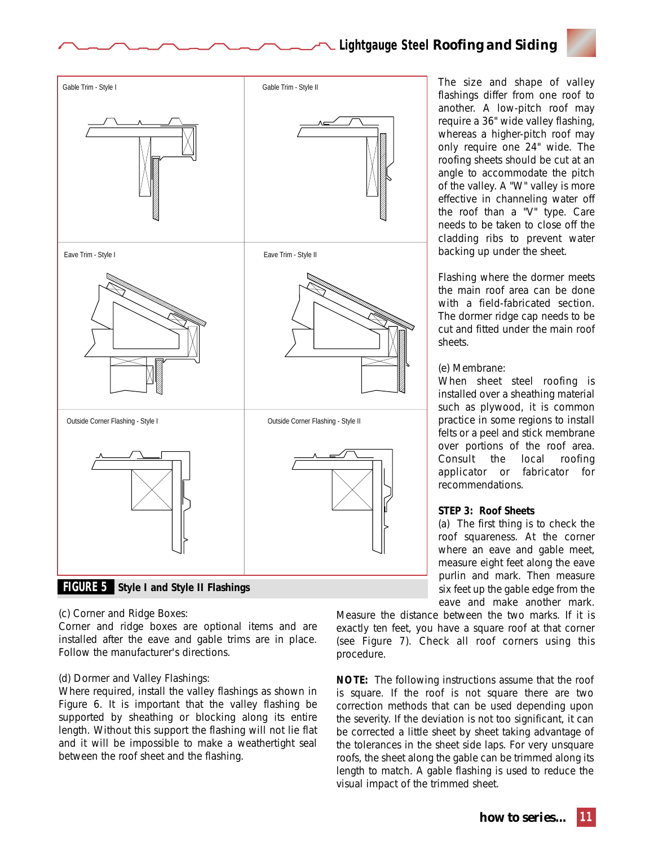

#### *(c) Corner and Ridge Boxes:*

Corner and ridge boxes are optional items and are installed after the eave and gable trims are in place. Follow the manufacturer's directions.

#### *(d) Dormer and Valley Flashings:*

Where required, install the valley flashings as shown in Figure 6. It is important that the valley flashing be supported by sheathing or blocking along its entire length. Without this support the flashing will not lie flat and it will be impossible to make a weathertight seal between the roof sheet and the flashing.

The size and shape of valley flashings differ from one roof to another. A low-pitch roof may require a 36" wide valley flashing, whereas a higher-pitch roof may only require one 24" wide. The roofing sheets should be cut at an angle to accommodate the pitch of the valley. A "W" valley is more effective in channeling water off the roof than a "V" type. Care needs to be taken to close off the cladding ribs to prevent water backing up under the sheet.

Flashing where the dormer meets the main roof area can be done with a field-fabricated section. The dormer ridge cap needs to be cut and fitted under the main roof sheets.

#### *(e) Membrane:*

When sheet steel roofing is installed over a sheathing material such as plywood, it is common practice in some regions to install felts or a peel and stick membrane over portions of the roof area. Consult the local roofing applicator or fabricator for recommendations.

#### **STEP 3: Roof Sheets**

(a) The first thing is to check the roof squareness. At the corner where an eave and gable meet, measure eight feet along the eave purlin and mark. Then measure six feet up the gable edge from the eave and make another mark.

Measure the distance between the two marks. If it is exactly ten feet, you have a square roof at that corner (see Figure 7). Check all roof corners using this procedure.

*NOTE: The following instructions assume that the roof is square. If the roof is not square there are two correction methods that can be used depending upon the severity. If the deviation is not too significant, it can be corrected a little sheet by sheet taking advantage of the tolerances in the sheet side laps. For very unsquare roofs, the sheet along the gable can be trimmed along its length to match. A gable flashing is used to reduce the visual impact of the trimmed sheet.*

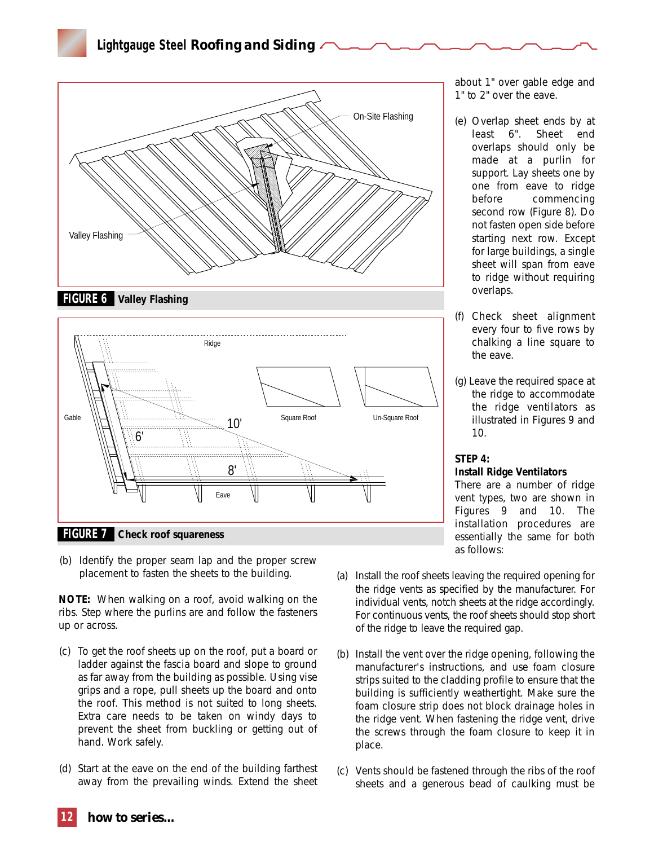**Lightgauge Steel** *Roofing and Siding*





(b) Identify the proper seam lap and the proper screw placement to fasten the sheets to the building.

*NOTE: When walking on a roof, avoid walking on the ribs. Step where the purlins are and follow the fasteners up or across.*

- (c) To get the roof sheets up on the roof, put a board or ladder against the fascia board and slope to ground as far away from the building as possible. Using vise grips and a rope, pull sheets up the board and onto the roof. This method is not suited to long sheets. Extra care needs to be taken on windy days to prevent the sheet from buckling or getting out of hand. Work safely.
- (d) Start at the eave on the end of the building farthest away from the prevailing winds. Extend the sheet

about 1" over gable edge and 1" to 2" over the eave.

- (e) Overlap sheet ends by at least 6". Sheet end overlaps should only be made at a purlin for support. Lay sheets one by one from eave to ridge before commencing second row (Figure 8). Do not fasten open side before starting next row. Except for large buildings, a single sheet will span from eave to ridge without requiring overlaps.
- (f) Check sheet alignment every four to five rows by chalking a line square to the eave.
- (g) Leave the required space at the ridge to accommodate the ridge ventilators as illustrated in Figures 9 and 10.

#### **STEP 4: Install Ridge Ventilators**

There are a number of ridge vent types, two are shown in Figures 9 and 10. The installation procedures are essentially the same for both as follows:

- (a) Install the roof sheets leaving the required opening for the ridge vents as specified by the manufacturer. For individual vents, notch sheets at the ridge accordingly. For continuous vents, the roof sheets should stop short of the ridge to leave the required gap.
- (b) Install the vent over the ridge opening, following the manufacturer's instructions, and use foam closure strips suited to the cladding profile to ensure that the building is sufficiently weathertight. Make sure the foam closure strip does not block drainage holes in the ridge vent. When fastening the ridge vent, drive the screws through the foam closure to keep it in place.
- (c) Vents should be fastened through the ribs of the roof sheets and a generous bead of caulking must be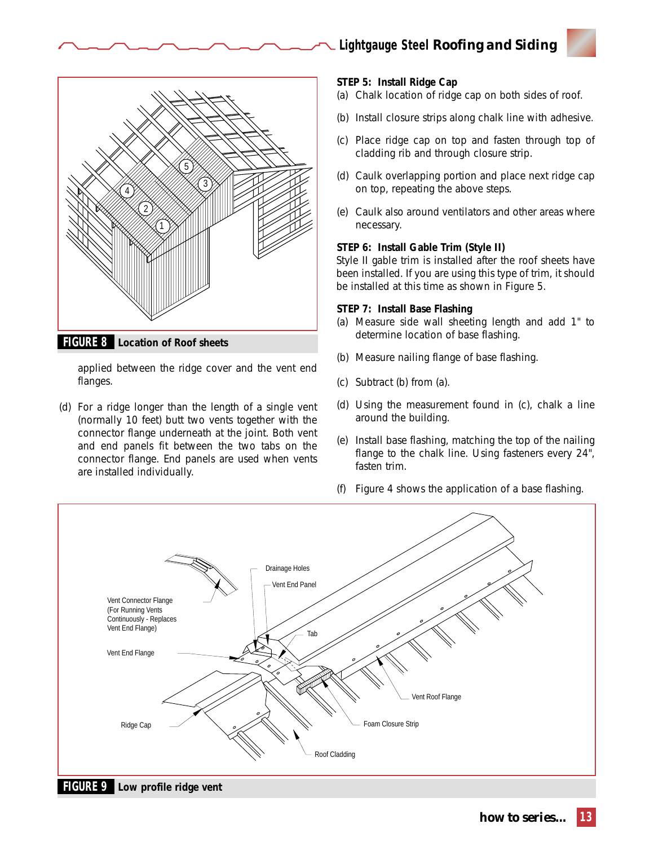



applied between the ridge cover and the vent end flanges.

(d) For a ridge longer than the length of a single vent (normally 10 feet) butt two vents together with the connector flange underneath at the joint. Both vent and end panels fit between the two tabs on the connector flange. End panels are used when vents are installed individually.

#### **STEP 5: Install Ridge Cap**

- (a) Chalk location of ridge cap on both sides of roof.
- (b) Install closure strips along chalk line with adhesive.
- (c) Place ridge cap on top and fasten through top of cladding rib and through closure strip.
- (d) Caulk overlapping portion and place next ridge cap on top, repeating the above steps.
- (e) Caulk also around ventilators and other areas where necessary.

#### **STEP 6: Install Gable Trim (Style II)**

Style II gable trim is installed after the roof sheets have been installed. If you are using this type of trim, it should be installed at this time as shown in Figure 5.

#### **STEP 7: Install Base Flashing**

- (a) Measure side wall sheeting length and add 1" to determine location of base flashing.
- (b) Measure nailing flange of base flashing.
- (c) Subtract (b) from (a).
- (d) Using the measurement found in (c), chalk a line around the building.
- (e) Install base flashing, matching the top of the nailing flange to the chalk line. Using fasteners every 24", fasten trim.
- (f) Figure 4 shows the application of a base flashing.

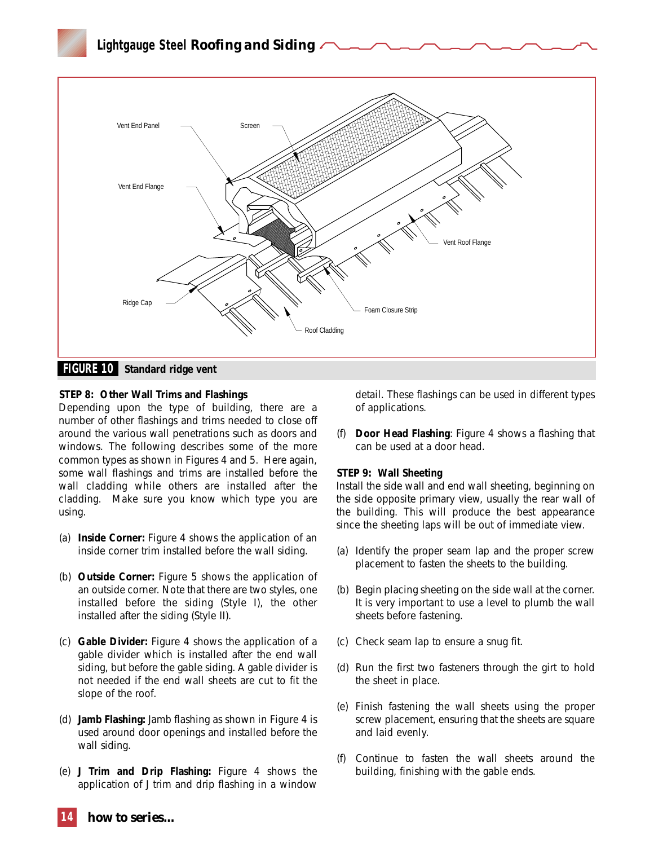

#### **STEP 8: Other Wall Trims and Flashings**

Depending upon the type of building, there are a number of other flashings and trims needed to close off around the various wall penetrations such as doors and windows. The following describes some of the more common types as shown in Figures 4 and 5. Here again, some wall flashings and trims are installed before the wall cladding while others are installed after the cladding. Make sure you know which type you are using.

- (a) **Inside Corner:** Figure 4 shows the application of an inside corner trim installed before the wall siding.
- (b) **Outside Corner:** Figure 5 shows the application of an outside corner. Note that there are two styles, one installed before the siding (Style I), the other installed after the siding (Style II).
- (c) **Gable Divider:** Figure 4 shows the application of a gable divider which is installed after the end wall siding, but before the gable siding. A gable divider is not needed if the end wall sheets are cut to fit the slope of the roof.
- (d) **Jamb Flashing:** Jamb flashing as shown in Figure 4 is used around door openings and installed before the wall siding.
- (e) **J Trim and Drip Flashing:** Figure 4 shows the application of J trim and drip flashing in a window

detail. These flashings can be used in different types of applications.

(f) **Door Head Flashing**: Figure 4 shows a flashing that can be used at a door head.

#### **STEP 9: Wall Sheeting**

Install the side wall and end wall sheeting, beginning on the side opposite primary view, usually the rear wall of the building. This will produce the best appearance since the sheeting laps will be out of immediate view.

- (a) Identify the proper seam lap and the proper screw placement to fasten the sheets to the building.
- (b) Begin placing sheeting on the side wall at the corner. It is very important to use a level to plumb the wall sheets before fastening.
- (c) Check seam lap to ensure a snug fit.
- (d) Run the first two fasteners through the girt to hold the sheet in place.
- (e) Finish fastening the wall sheets using the proper screw placement, ensuring that the sheets are square and laid evenly.
- (f) Continue to fasten the wall sheets around the building, finishing with the gable ends.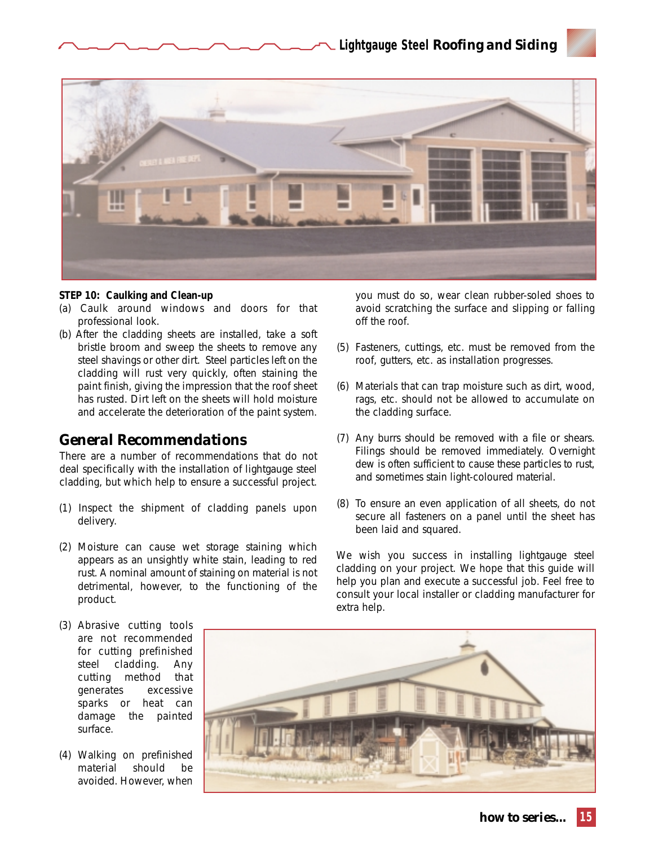

#### **STEP 10: Caulking and Clean-up**

- (a) Caulk around windows and doors for that professional look.
- (b) After the cladding sheets are installed, take a soft bristle broom and sweep the sheets to remove any steel shavings or other dirt. Steel particles left on the cladding will rust very quickly, often staining the paint finish, giving the impression that the roof sheet has rusted. Dirt left on the sheets will hold moisture and accelerate the deterioration of the paint system.

## *General Recommendations*

There are a number of recommendations that do not deal specifically with the installation of lightgauge steel cladding, but which help to ensure a successful project.

- (1) Inspect the shipment of cladding panels upon delivery.
- (2) Moisture can cause wet storage staining which appears as an unsightly white stain, leading to red rust. A nominal amount of staining on material is not detrimental, however, to the functioning of the product.
- you must do so, wear clean rubber-soled shoes to avoid scratching the surface and slipping or falling off the roof.
- (5) Fasteners, cuttings, etc. must be removed from the roof, gutters, etc. as installation progresses.
- (6) Materials that can trap moisture such as dirt, wood, rags, etc. should not be allowed to accumulate on the cladding surface.
- (7) Any burrs should be removed with a file or shears. Filings should be removed immediately. Overnight dew is often sufficient to cause these particles to rust, and sometimes stain light-coloured material.
- (8) To ensure an even application of all sheets, do not secure all fasteners on a panel until the sheet has been laid and squared.

We wish you success in installing lightgauge steel cladding on your project. We hope that this guide will help you plan and execute a successful job. Feel free to consult your local installer or cladding manufacturer for extra help.

- (3) Abrasive cutting tools are not recommended for cutting prefinished steel cladding. Any cutting method that generates excessive sparks or heat can damage the painted surface.
- (4) Walking on prefinished material should be avoided. However, when